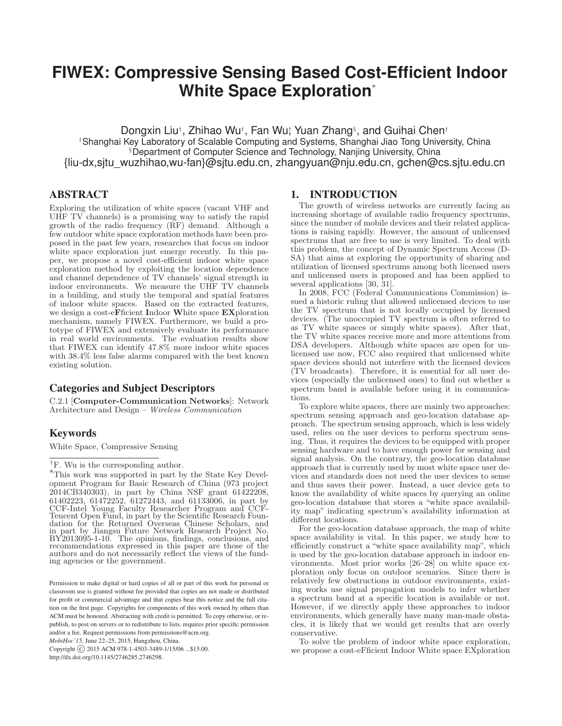# **FIWEX: Compressive Sensing Based Cost-Efficient Indoor White Space Exploration**<sup>∗</sup>

Dongxin Liu†, Zhihao Wu†, Fan Wuț Yuan Zhang<sup>§</sup>, and Guihai Chen†

†Shanghai Key Laboratory of Scalable Computing and Systems, Shanghai Jiao Tong University, China §Department of Computer Science and Technology, Nanjing University, China {liu-dx,sjtu\_wuzhihao,wu-fan}@sjtu.edu.cn, zhangyuan@nju.edu.cn, gchen@cs.sjtu.edu.cn

# ABSTRACT

Exploring the utilization of white spaces (vacant VHF and UHF TV channels) is a promising way to satisfy the rapid growth of the radio frequency (RF) demand. Although a few outdoor white space exploration methods have been proposed in the past few years, researches that focus on indoor white space exploration just emerge recently. In this paper, we propose a novel cost-efficient indoor white space exploration method by exploiting the location dependence and channel dependence of TV channels' signal strength in indoor environments. We measure the UHF TV channels in a building, and study the temporal and spatial features of indoor white spaces. Based on the extracted features, we design a cost-e**F**ficient **I**ndoor **W**hite space **EX**ploration mechanism, namely FIWEX. Furthermore, we build a prototype of FIWEX and extensively evaluate its performance in real world environments. The evaluation results show that FIWEX can identify 47.8% more indoor white spaces with 38.4% less false alarms compared with the best known existing solution.

# Categories and Subject Descriptors

C.2.1 [**Computer-Communication Networks**]: Network Architecture and Design – Wireless Communication

# Keywords

White Space, Compressive Sensing

*MobiHoc'15,* June 22–25, 2015, Hangzhou, China.

Copyright  $\overline{C}$  2015 ACM 978-1-4503-3489-1/15/06 ...\$15.00. http://dx.doi.org/10.1145/2746285.2746298.

## 1. INTRODUCTION

The growth of wireless networks are currently facing an increasing shortage of available radio frequency spectrums, since the number of mobile devices and their related applications is raising rapidly. However, the amount of unlicensed spectrums that are free to use is very limited. To deal with this problem, the concept of Dynamic Spectrum Access (D-SA) that aims at exploring the opportunity of sharing and utilization of licensed spectrums among both licensed users and unlicensed users is proposed and has been applied to several applications [30, 31].

In 2008, FCC (Federal Communications Commission) issued a historic ruling that allowed unlicensed devices to use the TV spectrum that is not locally occupied by licensed devices. (The unoccupied TV spectrum is often referred to as TV white spaces or simply white spaces). After that, the TV white spaces receive more and more attentions from DSA developers. Although white spaces are open for unlicensed use now, FCC also required that unlicensed white space devices should not interfere with the licensed devices (TV broadcasts). Therefore, it is essential for all user devices (especially the unlicensed ones) to find out whether a spectrum band is available before using it in communications.

To explore white spaces, there are mainly two approaches: spectrum sensing approach and geo-location database approach. The spectrum sensing approach, which is less widely used, relies on the user devices to perform spectrum sensing. Thus, it requires the devices to be equipped with proper sensing hardware and to have enough power for sensing and signal analysis. On the contrary, the geo-location database approach that is currently used by most white space user devices and standards does not need the user devices to sense and thus saves their power. Instead, a user device gets to know the availability of white spaces by querying an online geo-location database that stores a "white space availability map" indicating spectrum's availability information at different locations.

For the geo-location database approach, the map of white space availability is vital. In this paper, we study how to efficiently construct a "white space availability map", which is used by the geo-location database approach in indoor environments. Most prior works [26–28] on white space exploration only focus on outdoor scenarios. Since there is relatively few obstructions in outdoor environments, existing works use signal propagation models to infer whether a spectrum band at a specific location is available or not. However, if we directly apply these approaches to indoor environments, which generally have many man-made obstacles, it is likely that we would get results that are overly conservative.

To solve the problem of indoor white space exploration, we propose a cost-eFficient Indoor White space EXploration

<sup>&</sup>lt;sup>†</sup>F. Wu is the corresponding author.

<sup>∗</sup>This work was supported in part by the State Key Development Program for Basic Research of China (973 project 2014CB340303), in part by China NSF grant 61422208, 61402223, 61472252, 61272443, and 61133006, in part by CCF-Intel Young Faculty Researcher Program and CCF-Tencent Open Fund, in part by the Scientific Research Foundation for the Returned Overseas Chinese Scholars, and in part by Jiangsu Future Network Research Project No. BY2013095-1-10. The opinions, findings, conclusions, and recommendations expressed in this paper are those of the authors and do not necessarily reflect the views of the funding agencies or the government.

Permission to make digital or hard copies of all or part of this work for personal or classroom use is granted without fee provided that copies are not made or distributed for profit or commercial advantage and that copies bear this notice and the full citation on the first page. Copyrights for components of this work owned by others than ACM must be honored. Abstracting with credit is permitted. To copy otherwise, or republish, to post on servers or to redistribute to lists, requires prior specific permission and/or a fee. Request permissions from permissions@acm.org.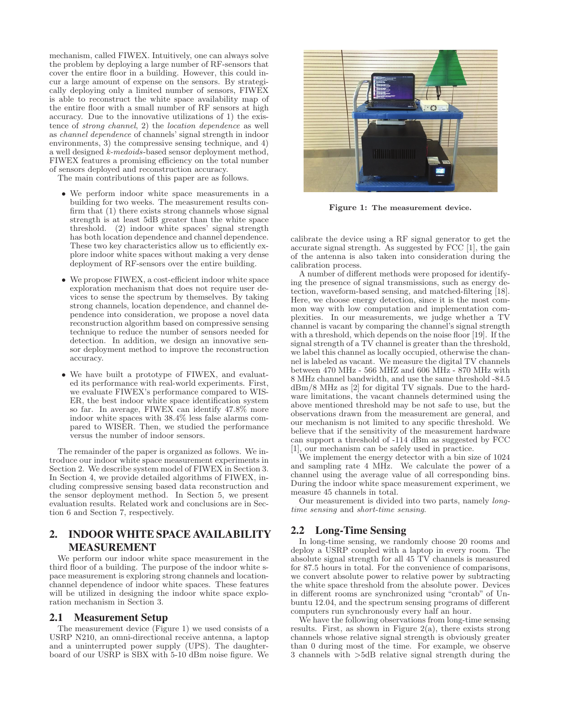mechanism, called FIWEX. Intuitively, one can always solve the problem by deploying a large number of RF-sensors that cover the entire floor in a building. However, this could incur a large amount of expense on the sensors. By strategically deploying only a limited number of sensors, FIWEX is able to reconstruct the white space availability map of the entire floor with a small number of RF sensors at high accuracy. Due to the innovative utilizations of 1) the existence of strong channel, 2) the location dependence as well as channel dependence of channels' signal strength in indoor environments, 3) the compressive sensing technique, and 4) a well designed k-medoids-based sensor deployment method, FIWEX features a promising efficiency on the total number of sensors deployed and reconstruction accuracy.

The main contributions of this paper are as follows.

- We perform indoor white space measurements in a building for two weeks. The measurement results confirm that (1) there exists strong channels whose signal strength is at least 5dB greater than the white space threshold. (2) indoor white spaces' signal strength has both location dependence and channel dependence. These two key characteristics allow us to efficiently explore indoor white spaces without making a very dense deployment of RF-sensors over the entire building.
- We propose FIWEX, a cost-efficient indoor white space exploration mechanism that does not require user devices to sense the spectrum by themselves. By taking strong channels, location dependence, and channel dependence into consideration, we propose a novel data reconstruction algorithm based on compressive sensing technique to reduce the number of sensors needed for detection. In addition, we design an innovative sensor deployment method to improve the reconstruction accuracy.
- We have built a prototype of FIWEX, and evaluated its performance with real-world experiments. First, we evaluate FIWEX's performance compared to WIS-ER, the best indoor white space identification system so far. In average, FIWEX can identify 47.8% more indoor white spaces with 38.4% less false alarms compared to WISER. Then, we studied the performance versus the number of indoor sensors.

The remainder of the paper is organized as follows. We introduce our indoor white space measurement experiments in Section 2. We describe system model of FIWEX in Section 3. In Section 4, we provide detailed algorithms of FIWEX, including compressive sensing based data reconstruction and the sensor deployment method. In Section 5, we present evaluation results. Related work and conclusions are in Section 6 and Section 7, respectively.

# 2. INDOOR WHITE SPACE AVAILABILITY MEASUREMENT

We perform our indoor white space measurement in the third floor of a building. The purpose of the indoor white space measurement is exploring strong channels and locationchannel dependence of indoor white spaces. These features will be utilized in designing the indoor white space exploration mechanism in Section 3.

#### 2.1 Measurement Setup

The measurement device (Figure 1) we used consists of a USRP N210, an omni-directional receive antenna, a laptop and a uninterrupted power supply (UPS). The daughterboard of our USRP is SBX with 5-10 dBm noise figure. We



**Figure 1: The measurement device.**

calibrate the device using a RF signal generator to get the accurate signal strength. As suggested by FCC [1], the gain of the antenna is also taken into consideration during the calibration process.

A number of different methods were proposed for identifying the presence of signal transmissions, such as energy detection, waveform-based sensing, and matched-filtering [18]. Here, we choose energy detection, since it is the most common way with low computation and implementation complexities. In our measurements, we judge whether a TV channel is vacant by comparing the channel's signal strength with a threshold, which depends on the noise floor [19]. If the signal strength of a TV channel is greater than the threshold, we label this channel as locally occupied, otherwise the channel is labeled as vacant. We measure the digital TV channels between 470 MHz - 566 MHZ and 606 MHz - 870 MHz with 8 MHz channel bandwidth, and use the same threshold -84.5 dBm/8 MHz as [2] for digital TV signals. Due to the hardware limitations, the vacant channels determined using the above mentioned threshold may be not safe to use, but the observations drawn from the measurement are general, and our mechanism is not limited to any specific threshold. We believe that if the sensitivity of the measurement hardware can support a threshold of -114 dBm as suggested by FCC [1], our mechanism can be safely used in practice.

We implement the energy detector with a bin size of 1024 and sampling rate 4 MHz. We calculate the power of a channel using the average value of all corresponding bins. During the indoor white space measurement experiment, we measure 45 channels in total.

Our measurement is divided into two parts, namely longtime sensing and short-time sensing.

## 2.2 Long-Time Sensing

In long-time sensing, we randomly choose 20 rooms and deploy a USRP coupled with a laptop in every room. The absolute signal strength for all 45 TV channels is measured for 87.5 hours in total. For the convenience of comparisons, we convert absolute power to relative power by subtracting the white space threshold from the absolute power. Devices in different rooms are synchronized using "crontab" of Unbuntu 12.04, and the spectrum sensing programs of different computers run synchronously every half an hour.

We have the following observations from long-time sensing results. First, as shown in Figure  $2(a)$ , there exists strong channels whose relative signal strength is obviously greater than 0 during most of the time. For example, we observe 3 channels with >5dB relative signal strength during the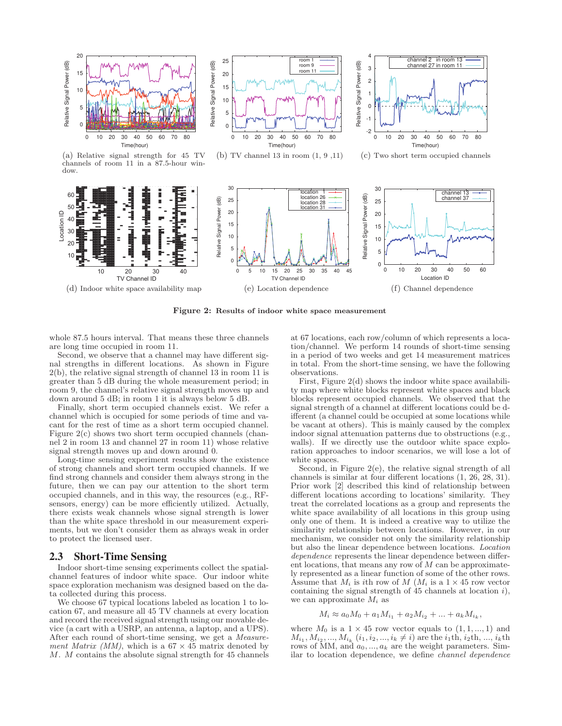

**Figure 2: Results of indoor white space measurement**

whole 87.5 hours interval. That means these three channels are long time occupied in room 11.

Second, we observe that a channel may have different signal strengths in different locations. As shown in Figure 2(b), the relative signal strength of channel 13 in room 11 is greater than 5 dB during the whole measurement period; in room 9, the channel's relative signal strength moves up and down around 5 dB; in room 1 it is always below 5 dB.

Finally, short term occupied channels exist. We refer a channel which is occupied for some periods of time and vacant for the rest of time as a short term occupied channel. Figure 2(c) shows two short term occupied channels (channel 2 in room 13 and channel 27 in room 11) whose relative signal strength moves up and down around 0.

Long-time sensing experiment results show the existence of strong channels and short term occupied channels. If we find strong channels and consider them always strong in the future, then we can pay our attention to the short term occupied channels, and in this way, the resources (e.g., RFsensors, energy) can be more efficiently utilized. Actually, there exists weak channels whose signal strength is lower than the white space threshold in our measurement experiments, but we don't consider them as always weak in order to protect the licensed user.

#### 2.3 Short-Time Sensing

Indoor short-time sensing experiments collect the spatialchannel features of indoor white space. Our indoor white space exploration mechanism was designed based on the data collected during this process.

We choose 67 typical locations labeled as location 1 to location 67, and measure all 45 TV channels at every location and record the received signal strength using our movable device (a cart with a USRP, an antenna, a laptop, and a UPS). After each round of short-time sensing, we get a Measurement Matrix (MM), which is a  $67 \times 45$  matrix denoted by M. M contains the absolute signal strength for 45 channels at 67 locations, each row/column of which represents a location/channel. We perform 14 rounds of short-time sensing in a period of two weeks and get 14 measurement matrices in total. From the short-time sensing, we have the following observations.

First, Figure 2(d) shows the indoor white space availability map where white blocks represent white spaces and black blocks represent occupied channels. We observed that the signal strength of a channel at different locations could be different (a channel could be occupied at some locations while be vacant at others). This is mainly caused by the complex indoor signal attenuation patterns due to obstructions (e.g., walls). If we directly use the outdoor white space exploration approaches to indoor scenarios, we will lose a lot of white spaces.

Second, in Figure  $2(e)$ , the relative signal strength of all channels is similar at four different locations (1, 26, 28, 31). Prior work [2] described this kind of relationship between different locations according to locations' similarity. They treat the correlated locations as a group and represents the white space availability of all locations in this group using only one of them. It is indeed a creative way to utilize the similarity relationship between locations. However, in our mechanism, we consider not only the similarity relationship but also the linear dependence between locations. Location dependence represents the linear dependence between different locations, that means any row of  $M$  can be approximately represented as a linear function of some of the other rows. Assume that  $M_i$  is ith row of M ( $M_i$  is a  $1 \times 45$  row vector containing the signal strength of  $45$  channels at location  $i$ ), we can approximate  $M_i$  as

$$
M_i \approx a_0 M_0 + a_1 M_{i_1} + a_2 M_{i_2} + \dots + a_k M_{i_k},
$$

where  $M_0$  is a  $1 \times 45$  row vector equals to  $(1, 1, ..., 1)$  and  $M_{i_1}, M_{i_2}, ..., M_{i_k}$   $(i_1, i_2, ..., i_k \neq i)$  are the  $i_1$ th,  $i_2$ th, ...,  $i_k$ th rows of MM, and  $a_0, \ldots, a_k$  are the weight parameters. Similar to location dependence, we define channel dependence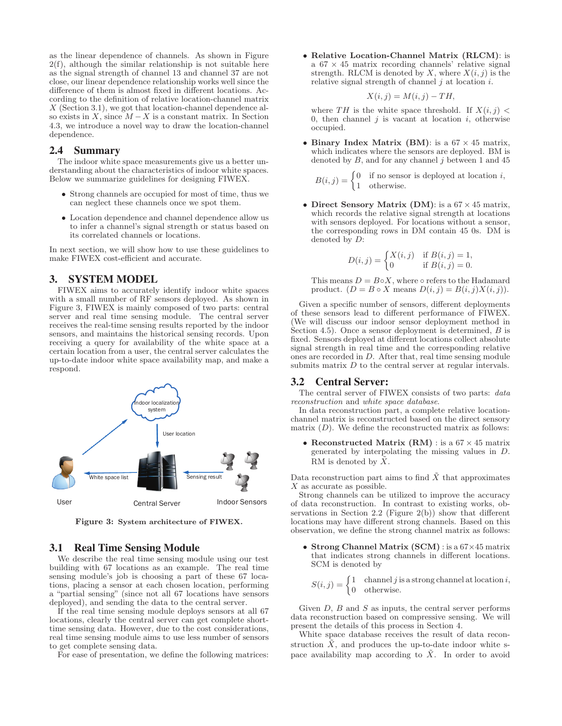as the linear dependence of channels. As shown in Figure  $2(f)$ , although the similar relationship is not suitable here as the signal strength of channel 13 and channel 37 are not close, our linear dependence relationship works well since the difference of them is almost fixed in different locations. According to the definition of relative location-channel matrix X (Section 3.1), we got that location-channel dependence also exists in  $X$ , since  $M - X$  is a constant matrix. In Section 4.3, we introduce a novel way to draw the location-channel dependence.

## 2.4 Summary

The indoor white space measurements give us a better understanding about the characteristics of indoor white spaces. Below we summarize guidelines for designing FIWEX.

- Strong channels are occupied for most of time, thus we can neglect these channels once we spot them.
- Location dependence and channel dependence allow us to infer a channel's signal strength or status based on its correlated channels or locations.

In next section, we will show how to use these guidelines to make FIWEX cost-efficient and accurate.

# 3. SYSTEM MODEL

FIWEX aims to accurately identify indoor white spaces with a small number of RF sensors deployed. As shown in Figure 3, FIWEX is mainly composed of two parts: central server and real time sensing module. The central server receives the real-time sensing results reported by the indoor sensors, and maintains the historical sensing records. Upon receiving a query for availability of the white space at a certain location from a user, the central server calculates the up-to-date indoor white space availability map, and make a respond.



**Figure 3: System architecture of FIWEX.**

#### 3.1 Real Time Sensing Module

We describe the real time sensing module using our test building with 67 locations as an example. The real time sensing module's job is choosing a part of these 67 locations, placing a sensor at each chosen location, performing a "partial sensing" (since not all 67 locations have sensors deployed), and sending the data to the central server.

If the real time sensing module deploys sensors at all 67 locations, clearly the central server can get complete shorttime sensing data. However, due to the cost considerations, real time sensing module aims to use less number of sensors to get complete sensing data.

For ease of presentation, we define the following matrices:

• **Relative Location-Channel Matrix (RLCM)**: is a  $67 \times 45$  matrix recording channels' relative signal strength. RLCM is denoted by X, where  $X(i, j)$  is the relative signal strength of channel  $j$  at location  $i$ .

$$
X(i,j) = M(i,j) - TH,
$$

where TH is the white space threshold. If  $X(i, j)$  < 0, then channel  $j$  is vacant at location  $i$ , otherwise occupied.

• **Binary Index Matrix (BM)**: is a  $67 \times 45$  matrix, which indicates where the sensors are deployed. BM is denoted by  $B$ , and for any channel  $j$  between 1 and 45

$$
B(i,j) = \begin{cases} 0 & \text{if no sensor is deployed at location } i, \\ 1 & \text{otherwise.} \end{cases}
$$

• **Direct Sensory Matrix (DM)**: is a 67 × 45 matrix, which records the relative signal strength at locations with sensors deployed. For locations without a sensor, the corresponding rows in DM contain 45 0s. DM is denoted by D:

$$
D(i,j) = \begin{cases} X(i,j) & \text{if } B(i,j) = 1, \\ 0 & \text{if } B(i,j) = 0. \end{cases}
$$

This means  $D = B \circ X$ , where  $\circ$  refers to the Hadamard product.  $(D = B \circ X \text{ means } D(i, j) = B(i, j)X(i, j)).$ 

Given a specific number of sensors, different deployments of these sensors lead to different performance of FIWEX. (We will discuss our indoor sensor deployment method in Section 4.5). Once a sensor deployment is determined,  $B$  is fixed. Sensors deployed at different locations collect absolute signal strength in real time and the corresponding relative ones are recorded in D. After that, real time sensing module submits matrix  $D$  to the central server at regular intervals.

## 3.2 Central Server:

The central server of FIWEX consists of two parts: data reconstruction and white space database.

In data reconstruction part, a complete relative locationchannel matrix is reconstructed based on the direct sensory matrix  $(D)$ . We define the reconstructed matrix as follows:

• **Reconstructed Matrix (RM)**: is a  $67 \times 45$  matrix generated by interpolating the missing values in D. RM is denoted by  $\overline{X}$ .

Data reconstruction part aims to find  $\tilde{X}$  that approximates X as accurate as possible.

Strong channels can be utilized to improve the accuracy of data reconstruction. In contrast to existing works, observations in Section 2.2 (Figure 2(b)) show that different locations may have different strong channels. Based on this observation, we define the strong channel matrix as follows:

• **Strong Channel Matrix (SCM)** : is a 67×45 matrix that indicates strong channels in different locations. SCM is denoted by

$$
S(i, j) = \begin{cases} 1 & \text{channel } j \text{ is a strong channel at location } i, \\ 0 & \text{otherwise.} \end{cases}
$$

Given  $D$ ,  $B$  and  $S$  as inputs, the central server performs data reconstruction based on compressive sensing. We will present the details of this process in Section 4.

White space database receives the result of data reconstruction  $\tilde{X}$ , and produces the up-to-date indoor white space availability map according to  $\tilde{X}$ . In order to avoid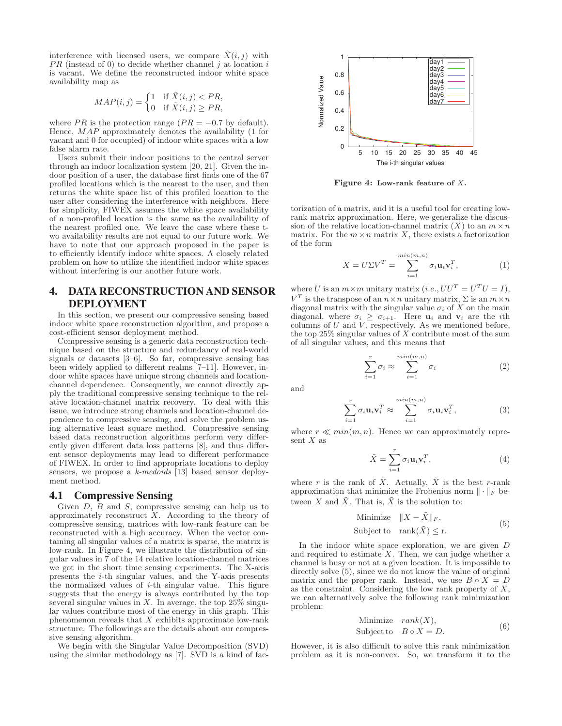interference with licensed users, we compare  $\tilde{X}(i, j)$  with  $PR$  (instead of 0) to decide whether channel j at location i is vacant. We define the reconstructed indoor white space availability map as

$$
MAP(i, j) = \begin{cases} 1 & \text{if } \tilde{X}(i, j) < PR, \\ 0 & \text{if } \tilde{X}(i, j) \ge PR, \end{cases}
$$

where PR is the protection range ( $PR = -0.7$  by default). Hence, MAP approximately denotes the availability (1 for vacant and 0 for occupied) of indoor white spaces with a low false alarm rate.

Users submit their indoor positions to the central server through an indoor localization system [20, 21]. Given the indoor position of a user, the database first finds one of the 67 profiled locations which is the nearest to the user, and then returns the white space list of this profiled location to the user after considering the interference with neighbors. Here for simplicity, FIWEX assumes the white space availability of a non-profiled location is the same as the availability of the nearest profiled one. We leave the case where these two availability results are not equal to our future work. We have to note that our approach proposed in the paper is to efficiently identify indoor white spaces. A closely related problem on how to utilize the identified indoor white spaces without interfering is our another future work.

# 4. DATA RECONSTRUCTION AND SENSOR DEPLOYMENT

In this section, we present our compressive sensing based indoor white space reconstruction algorithm, and propose a cost-efficient sensor deployment method.

Compressive sensing is a generic data reconstruction technique based on the structure and redundancy of real-world signals or datasets [3–6]. So far, compressive sensing has been widely applied to different realms [7–11]. However, indoor white spaces have unique strong channels and locationchannel dependence. Consequently, we cannot directly apply the traditional compressive sensing technique to the relative location-channel matrix recovery. To deal with this issue, we introduce strong channels and location-channel dependence to compressive sensing, and solve the problem using alternative least square method. Compressive sensing based data reconstruction algorithms perform very differently given different data loss patterns [8], and thus different sensor deployments may lead to different performance of FIWEX. In order to find appropriate locations to deploy sensors, we propose a k-medoids [13] based sensor deployment method.

#### 4.1 Compressive Sensing

Given  $D$ ,  $B$  and  $S$ , compressive sensing can help us to approximately reconstruct  $X$ . According to the theory of compressive sensing, matrices with low-rank feature can be reconstructed with a high accuracy. When the vector containing all singular values of a matrix is sparse, the matrix is low-rank. In Figure 4, we illustrate the distribution of singular values in 7 of the 14 relative location-channel matrices we got in the short time sensing experiments. The X-axis presents the i-th singular values, and the Y-axis presents the normalized values of  $i$ -th singular value. This figure suggests that the energy is always contributed by the top several singular values in X. In average, the top  $25\%$  singular values contribute most of the energy in this graph. This phenomenon reveals that  $X$  exhibits approximate low-rank structure. The followings are the details about our compressive sensing algorithm.

We begin with the Singular Value Decomposition (SVD) using the similar methodology as [7]. SVD is a kind of fac-



**Figure 4: Low-rank feature of** X**.**

torization of a matrix, and it is a useful tool for creating lowrank matrix approximation. Here, we generalize the discussion of the relative location-channel matrix  $(X)$  to an  $m \times n$ matrix. For the  $m \times n$  matrix X, there exists a factorization of the form

$$
X = U\Sigma V^T = \sum_{i=1}^{\min(m,n)} \sigma_i \mathbf{u}_i \mathbf{v}_i^T,
$$
 (1)

where U is an  $m \times m$  unitary matrix (*i.e.*,  $UU^T = U^T U = I$ ),  $V^T$  is the transpose of an  $n \times n$  unitary matrix,  $\Sigma$  is an  $m \times n$ diagonal matrix with the singular value  $\sigma_i$  of X on the main diagonal, where  $\sigma_i \geq \sigma_{i+1}$ . Here  $\mathbf{u}_i$  and  $\mathbf{v}_i$  are the *i*th columns of U and V, respectively. As we mentioned before, the top  $25\%$  singular values of X contribute most of the sum of all singular values, and this means that

$$
\sum_{i=1}^{r} \sigma_i \approx \sum_{i=1}^{\min(m,n)} \sigma_i \tag{2}
$$

and

$$
\sum_{i=1}^{r} \sigma_i \mathbf{u}_i \mathbf{v}_i^T \approx \sum_{i=1}^{\min(m,n)} \sigma_i \mathbf{u}_i \mathbf{v}_i^T,
$$
 (3)

where  $r \ll min(m, n)$ . Hence we can approximately represent  $X$  as

$$
\tilde{X} = \sum_{i=1}^{r} \sigma_i \mathbf{u}_i \mathbf{v}_i^T,
$$
\n(4)

where r is the rank of  $\tilde{X}$ . Actually,  $\tilde{X}$  is the best r-rank approximation that minimize the Frobenius norm  $\|\cdot\|_F$  between X and  $\tilde{X}$ . That is,  $\tilde{X}$  is the solution to:

Minimize 
$$
||X - \tilde{X}||_F
$$
,  
Subject to  $\text{rank}(\tilde{X}) \le r$ . (5)

In the indoor white space exploration, we are given D and required to estimate  $X$ . Then, we can judge whether a channel is busy or not at a given location. It is impossible to directly solve  $(5)$ , since we do not know the value of original matrix and the proper rank. Instead, we use  $B \circ X = D$ as the constraint. Considering the low rank property of  $X$ , we can alternatively solve the following rank minimization problem:

Minimize 
$$
rank(X)
$$
,  
Subject to  $B \circ X = D$ . (6)

However, it is also difficult to solve this rank minimization problem as it is non-convex. So, we transform it to the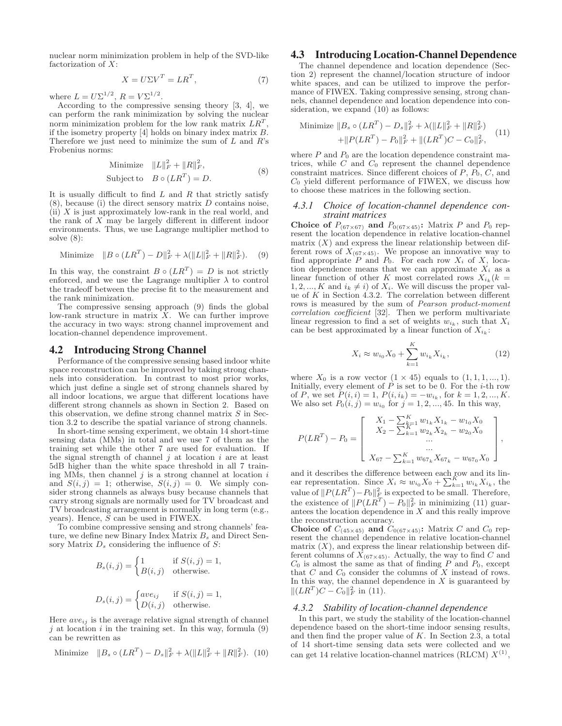nuclear norm minimization problem in help of the SVD-like factorization of  $X$ :

$$
X = U\Sigma V^T = LR^T,\t\t(7)
$$

where  $L = U \Sigma^{1/2}$ ,  $R = V \Sigma^{1/2}$ .

According to the compressive sensing theory [3, 4], we can perform the rank minimization by solving the nuclear norm minimization problem for the low rank matrix  $LR^T$ , if the isometry property [4] holds on binary index matrix B. Therefore we just need to minimize the sum of  $L$  and  $R$ 's Frobenius norms:

Minimize 
$$
||L||_F^2 + ||R||_F^2
$$
,  
\nSubject to  $B \circ (LR^T) = D$ . (8)

It is usually difficult to find  $L$  and  $R$  that strictly satisfy  $(8)$ , because (i) the direct sensory matrix D contains noise, (ii) X is just approximately low-rank in the real world, and the rank of  $X$  may be largely different in different indoor environments. Thus, we use Lagrange multiplier method to solve (8):

Minimize 
$$
||B \circ (LR^T) - D||_F^2 + \lambda (||L||_F^2 + ||R||_F^2)
$$
. (9)

In this way, the constraint  $B \circ (LR^T) = D$  is not strictly enforced, and we use the Lagrange multiplier  $\lambda$  to control the tradeoff between the precise fit to the measurement and the rank minimization.

The compressive sensing approach (9) finds the global low-rank structure in matrix X. We can further improve the accuracy in two ways: strong channel improvement and location-channel dependence improvement.

#### 4.2 Introducing Strong Channel

Performance of the compressive sensing based indoor white space reconstruction can be improved by taking strong channels into consideration. In contrast to most prior works, which just define a single set of strong channels shared by all indoor locations, we argue that different locations have different strong channels as shown in Section 2. Based on this observation, we define strong channel matrix  $S$  in Section 3.2 to describe the spatial variance of strong channels.

In short-time sensing experiment, we obtain 14 short-time sensing data (MMs) in total and we use 7 of them as the training set while the other 7 are used for evaluation. If the signal strength of channel  $j$  at location  $i$  are at least 5dB higher than the white space threshold in all 7 training MMs, then channel  $j$  is a strong channel at location  $i$ and  $S(i, j) = 1$ ; otherwise,  $S(i, j) = 0$ . We simply consider strong channels as always busy because channels that carry strong signals are normally used for TV broadcast and TV broadcasting arrangement is normally in long term (e.g., years). Hence, S can be used in FIWEX.

To combine compressive sensing and strong channels' feature, we define new Binary Index Matrix  $B_s$  and Direct Sensory Matrix  $D_s$  considering the influence of  $S$ :

$$
B_s(i,j) = \begin{cases} 1 & \text{if } S(i,j) = 1, \\ B(i,j) & \text{otherwise.} \end{cases}
$$
  

$$
\begin{cases} g(i,j) & \text{if } S(i,j) = 1 \\ 0 & \text{otherwise.} \end{cases}
$$

$$
D_s(i,j) = \begin{cases} ave_{ij} & \text{if } S(i,j) = 1, \\ D(i,j) & \text{otherwise.} \end{cases}
$$

Here  $ave_{ij}$  is the average relative signal strength of channel  $j$  at location  $i$  in the training set. In this way, formula  $(9)$ can be rewritten as

Minimize 
$$
||B_s \circ (LR^T) - D_s||_F^2 + \lambda (||L||_F^2 + ||R||_F^2)
$$
. (10)

### 4.3 Introducing Location-Channel Dependence

The channel dependence and location dependence (Section 2) represent the channel/location structure of indoor white spaces, and can be utilized to improve the performance of FIWEX. Taking compressive sensing, strong channels, channel dependence and location dependence into consideration, we expand  $(10)$  as follows:

Minimize 
$$
||B_s \circ (LR^T) - D_s||_F^2 + \lambda (||L||_F^2 + ||R||_F^2)
$$
  
  $+ ||P(LR^T) - P_0||_F^2 + ||(LR^T)C - C_0||_F^2,$  (11)

where  $P$  and  $P_0$  are the location dependence constraint matrices, while  $C$  and  $C_0$  represent the channel dependence constraint matrices. Since different choices of  $P$ ,  $P_0$ ,  $C$ , and  $C_0$  yield different performance of FIWEX, we discuss how to choose these matrices in the following section.

#### *4.3.1 Choice of location-channel dependence constraint matrices*

**Choice of**  $P_{(67\times67)}$  **and**  $P_{0(67\times45)}$ : Matrix P and  $P_0$  represent the location dependence in relative location-channel matrix  $(X)$  and express the linear relationship between different rows of  $X_{(67\times45)}$ . We propose an innovative way to find appropriate P and  $P_0$ . For each row  $X_i$  of X, location dependence means that we can approximate  $Y_i$  as a tion dependence means that we can approximate  $X_i$  as a linear function of other K most correlated rows  $X_{i_k} (k =$  $1, 2, ..., K$  and  $i_k \neq i$ ) of  $X_i$ . We will discuss the proper value of  $K$  in Section 4.3.2. The correlation between different rows is measured by the sum of Pearson product-moment correlation coefficient [32]. Then we perform multivariate linear regression to find a set of weights  $w_{i_k}$ , such that  $X_i$ can be best approximated by a linear function of  $X_{i_k}$ :

$$
X_i \approx w_{i_0} X_0 + \sum_{k=1}^{K} w_{i_k} X_{i_k},
$$
\n(12)

where  $X_0$  is a row vector  $(1 \times 45)$  equals to  $(1, 1, 1, ..., 1)$ . Initially, every element of  $P$  is set to be 0. For the *i*-th row of P, we set  $P(i, i) = 1$ ,  $P(i, i_k) = -w_{i_k}$ , for  $k = 1, 2, ..., K$ . We also set  $P_0(i, j) = w_{i_0}$  for  $j = 1, 2, ..., 45$ . In this way,

$$
P(LR^{T}) - P_0 = \begin{bmatrix} X_1 - \sum_{k=1}^{K} w_{1_k} X_{1_k} - w_{1_0} X_0 \\ X_2 - \sum_{k=1}^{K} w_{2_k} X_{2_k} - w_{2_0} X_0 \\ \dots \\ X_{67} - \sum_{k=1}^{K} w_{67_k} X_{67_k} - w_{67_0} X_0 \end{bmatrix},
$$

and it describes the difference between each row and its linear representation. Since  $X_i \approx w_{i_0} X_0 + \sum_{k=1}^R w_{i_k} X_{i_k}$ , the<br>value of  $||P(LR^T) - P_0||_F^2$  is expected to be small. Therefore,<br>the suistance of  $||P(LR^T) - P_0||_F^2$  is minimizing (11) guar the existence of  $||P(LR^T) - P_0||_F^2$  in minimizing (11) guar-<br>antess the location dependence in X and this really improve antees the location dependence in  $X$  and this really improve the reconstruction accuracy.

**Choice of**  $C_{(45\times45)}$  and  $C_{0(67\times45)}$ : Matrix C and  $C_0$  rep-<br>resent the channel dependence in relative location-channel matrix  $(X)$ , and express the linear relationship between different columns of  $X_{(67\times45)}$ . Actually, the way to find C and  $C_0$  is almost the same as that of finding P and  $P_0$ , except that  $C$  and  $C_0$  consider the columns of  $X$  instead of rows. In this way, the channel dependence in  $X$  is guaranteed by  $||(LR^T)C - C_0||_F^2$  in (11).

#### *4.3.2 Stability of location-channel dependence*

In this part, we study the stability of the location-channel dependence based on the short-time indoor sensing results, and then find the proper value of  $K$ . In Section 2.3, a total of 14 short-time sensing data sets were collected and we can get 14 relative location-channel matrices (RLCM)  $X^{(1)}$ ,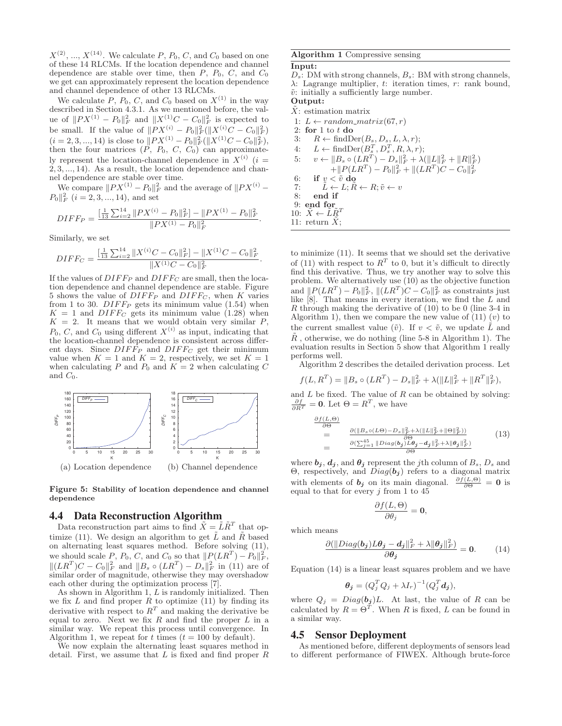$X^{(2)}$ , ...,  $X^{(14)}$ . We calculate P,  $P_0$ , C, and  $C_0$  based on one of these 14 RLCMs. If the location dependence and channel dependence are stable over time, then  $P$ ,  $P_0$ ,  $C$ , and  $C_0$ we get can approximately represent the location dependence and channel dependence of other 13 RLCMs.

We calculate P,  $P_0$ , C, and  $C_0$  based on  $X^{(1)}$  in the way described in Section 4.3.1. As we mentioned before, the value of  $||PX^{(1)} - P_0||_F^2$  and  $||X^{(1)}C - C_0||_F^2$  is expected to be small. If the value of  $\|PX^{(i)} - P_0\|_F^2 (\|X^{(i)}C - C_0\|_F^2)$  $(i = 2, 3, ..., 14)$  is close to  $||PX^{(1)} - P_0||_F^2(||X^{(1)}C - C_0||_F^2)$ , then the four matrices  $(P, P_0, C, C_0)$  can approximately represent the location-channel dependence in  $X^{(i)}$  (i = 2, 3, ..., 14). As a result, the location dependence and channel dependence are stable over time.

We compare  $\|PX^{(1)} - P_0\|_F^2$  and the average of  $\|PX^{(i)} - P_0\|_F^2$  $P_0 \Vert_F^2$   $(i = 2, 3, ..., 14)$ , and set

$$
DIFF_P = \frac{\left[\frac{1}{13} \sum_{i=2}^{14} \|PX^{(i)} - P_0\|_F^2\right] - \|PX^{(1)} - P_0\|_F^2}{\|PX^{(1)} - P_0\|_F^2}
$$

Similarly, we set

$$
DIFF_C = \frac{[\frac{1}{13} \sum_{i=2}^{14} ||X^{(i)}C - C_0||_F^2] - ||X^{(1)}C - C_0||_F^2}{||X^{(1)}C - C_0||_F^2}
$$

If the values of  $DIFF<sub>F</sub>$  and  $DIFF<sub>G</sub>$  are small, then the location dependence and channel dependence are stable. Figure tion dependence and channel dependence are stable. Figure 5 shows the value of  $DIFF_P$  and  $DIFF_C$ , when K varies from 1 to 30.  $DIFF_P$  gets its minimum value (1.54) when  $K = 1$  and  $DIFF_C$  gets its minimum value (1.28) when  $K = 2$ . It means that we would obtain very similar P,  $P_0, C$ , and  $C_0$  using different  $X^{(i)}$  as input, indicating that the location-channel dependence is consistent across different days. Since  $DIFF_P$  and  $DIFF_C$  get their minimum value when  $K = 1$  and  $K = 2$ , respectively, we set  $K = 1$ when calculating P and  $P_0$  and  $K = 2$  when calculating C and  $C_0$ .



**Figure 5: Stability of location dependence and channel dependence**

#### 4.4 Data Reconstruction Algorithm

Data reconstruction part aims to find  $\tilde{X} = \tilde{L}\tilde{R}^T$  that optimize (11). We design an algorithm to get  $\tilde{L}$  and  $\tilde{R}$  based on alternating least squares method. Before solving (11), we should scale P,  $P_0$ , C, and  $C_0$  so that  $||P(LR^T) - P_0||_F^2$  $||(LR^T)C - C_0||_F^2$  and  $||B_s \circ (LR^T) - D_s||_F^2$  in (11) are of<br>similar order of magnitude, otherwise they may overshadow similar order of magnitude, otherwise they may overshadow each other during the optimization process [7].

As shown in Algorithm 1,  $L$  is randomly initialized. Then we fix L and find proper  $\hat{R}$  to optimize (11) by finding its derivative with respect to  $R<sup>T</sup>$  and making the derivative be equal to zero. Next we fix  $R$  and find the proper  $L$  in a similar way. We repeat this process until convergence. In Algorithm 1, we repeat for t times  $(t = 100 \text{ by default}).$ 

We now explain the alternating least squares method in detail. First, we assume that  $L$  is fixed and find proper  $R$ 

#### **Algorithm 1** Compressive sensing

#### **Input:**

 $D_s$ : DM with strong channels,  $B_s$ : BM with strong channels,  $\lambda$ : Lagrange multiplier, t: iteration times, r: rank bound,  $\tilde{v}$ : initially a sufficiently large number.

# **Output:**

.

.

 $X$ : estimation matrix

1:  $L \leftarrow random\_matrix(67, r)$ 2: **for** 1 to t **do** 3:  $R \leftarrow \text{findDer}(B_s, D_s, L, \lambda, r);$ <br>4:  $L \leftarrow \text{findDer}(B_s^T, D_s^T, R, \lambda, r);$ 4:  $L \leftarrow \text{findDer}(B_s^T, D_s^T, R, \lambda, r);$ <br>5:  $v \leftarrow ||B_s \circ (LR^T) - D_s||_F^2 + \lambda$  $\sum_{s}^{T}, D_s^T, R, \lambda, r);$ 5:  $v \leftarrow \|B_s \circ (LR^T) - D_s\|_F^2 + \lambda (\|L\|_F^2 + \|R\|_F^2)$  $+\|P(LR^T) - P_0\|_F^2 + \|(LR^T)C - C_0\|_F^2$ 6: **if**  $v < \tilde{v}$  **do**<br>7:  $\tilde{L} \leftarrow L; \tilde{R}$ 7:  $\tilde{L} \leftarrow L; \tilde{R} \leftarrow R; \tilde{v} \leftarrow v$ <br>8: end if 8: **end if** 9: **end for** 10:  $\tilde{X} \leftarrow \tilde{\tilde{L}} \tilde{R}^T$ 11: return  $X;$ 

to minimize (11). It seems that we should set the derivative of (11) with respect to  $R^T$  to 0, but it's difficult to directly find this derivative. Thus, we try another way to solve this problem. We alternatively use (10) as the objective function and  $||P(LR^T) - P_0||_F^2$ ,  $||(LR^T)C - C_0||_F^2$  as constraints just<br>like [8] That means in every iteration, we find the L and like [8]. That means in every iteration, we find the L and  $R$  through making the derivative of  $(10)$  to be 0 (line 3-4 in Algorithm 1), then we compare the new value of  $(11)(v)$  to the current smallest value  $(\tilde{v})$ . If  $v < \tilde{v}$ , we update  $\tilde{L}$  and  $\tilde{R}$ , otherwise, we do nothing (line 5-8 in Algorithm 1). The evaluation results in Section 5 show that Algorithm 1 really performs well.

Algorithm 2 describes the detailed derivation process. Let

$$
f(L, R^T) = ||B_s \circ (LR^T) - D_s||_F^2 + \lambda (||L||_F^2 + ||R^T||_F^2),
$$

and  $L$  be fixed. The value of  $R$  can be obtained by solving:  $\frac{\partial f}{\partial R^T} = \mathbf{0}$ . Let  $\Theta = R^T$ , we have

$$
\frac{\partial f(L,\Theta)}{\partial \Theta} = \frac{\partial (\|B_s \circ (L\Theta) - D_s\|_F^2 + \lambda (\|L\|_F^2 + \|\Theta\|_F^2))}{\partial (\sum_{j=1}^{45} \|Diag(b_j)L\theta_j - d_j\|_F^2 + \lambda \|\theta_j\|_F^2)}
$$
(13)

where  $\boldsymbol{b}_j$ ,  $\boldsymbol{d}_j$ , and  $\boldsymbol{\theta}_j$  represent the *j*th column of  $B_s$ ,  $D_s$  and Θ, respectively, and Diag(*b<sup>j</sup>* ) refers to a diagonal matrix with elements of  $\mathbf{b}_j$  on its main diagonal.  $\frac{\partial f(L,\Theta)}{\partial \Theta} = \mathbf{0}$  is equal to that for every *i* from 1 to 45 equal to that for every  $j$  from 1 to 45

$$
\frac{\partial f(L,\Theta)}{\partial \theta_j} = \mathbf{0},
$$

which means

$$
\frac{\partial (\|Diag(b_j)L\theta_j-d_j\|_F^2+\lambda\|\theta_j\|_F^2)}{\partial \theta_j}=0.
$$
 (14)

Equation (14) is a linear least squares problem and we have

$$
\boldsymbol{\theta_j} = (Q_j^T Q_j + \lambda I_r)^{-1} (Q_j^T \boldsymbol{d_j}),
$$

where  $Q_j = Diag(b_j)L$ . At last, the value of R can be calculated by  $R = \Theta^T$ . When R is fixed, L can be found in a similar way.

#### 4.5 Sensor Deployment

As mentioned before, different deployments of sensors lead to different performance of FIWEX. Although brute-force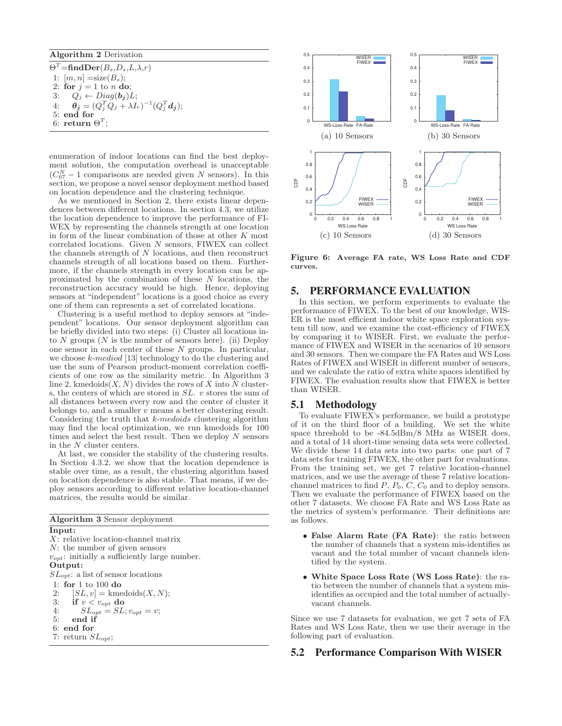#### **Algorithm 2** Derivation

 $\Theta^T = \mathbf{findDer}(B_s, D_s, L, \lambda, r)$ 1:  $[m, n] = size(B_s);$ 2: **for**  $j = 1$  to *n* **do**; 3:  $Q_j \leftarrow Diag(b_j)L;$ <br>4:  $\theta_j = (Q_i^T Q_j + \lambda I_j)$ 4:  $\theta_j = (Q_j^T Q_j + \lambda I_r)^{-1} (Q_j^T d_j);$ <br>5: ond for 5: **end for** 6: **return**  $\Theta^T$ ;

enumeration of indoor locations can find the best deployment solution, the computation overhead is unacceptable  $(C_{67}^N - 1$  comparisons are needed given N sensors). In this section, we propose a novel sensor deployment method based on location dependence and the clustering technique.

As we mentioned in Section 2, there exists linear dependences between different locations. In section 4.3, we utilize the location dependence to improve the performance of FI-WEX by representing the channels strength at one location in form of the linear combination of those at other K most correlated locations. Given N sensors, FIWEX can collect the channels strength of N locations, and then reconstruct channels strength of all locations based on them. Furthermore, if the channels strength in every location can be approximated by the combination of these N locations, the reconstruction accuracy would be high. Hence, deploying sensors at "independent" locations is a good choice as every one of them can represents a set of correlated locations.

Clustering is a useful method to deploy sensors at "independent" locations. Our sensor deployment algorithm can be briefly divided into two steps: (i) Cluster all locations into N groups  $(N$  is the number of sensors here). (ii) Deploy one sensor in each center of these  $N$  groups. In particular, we choose k-mediod [13] technology to do the clustering and use the sum of Pearson product-moment correlation coefficients of one row as the similarity metric. In Algorithm 3 line 2, kmedoids $(X, N)$  divides the rows of X into N clusters, the centers of which are stored in  $SL$ .  $v$  stores the sum of all distances between every row and the center of cluster it belongs to, and a smaller v means a better clustering result. Considering the truth that k-medoids clustering algorithm may find the local optimization, we run kmedoids for 100 times and select the best result. Then we deploy  $N$  sensors in the N cluster centers.

At last, we consider the stability of the clustering results. In Section 4.3.2, we show that the location dependence is stable over time, as a result, the clustering algorithm based on location dependence is also stable. That means, if we deploy sensors according to different relative location-channel matrices, the results would be similar.

| <b>Algorithm 3</b> Sensor deployment               |
|----------------------------------------------------|
| Input:                                             |
| $X$ : relative location-channel matrix             |
| $N$ : the number of given sensors                  |
| $v_{opt}$ : initially a sufficiently large number. |
| Output:                                            |
| $SL_{opt}$ : a list of sensor locations            |
| 1: for $1 \text{ to } 100$ do                      |
| $[SL, v] =$ kmedoids $(X, N);$<br>2:               |
| 3: if $v < v_{opt}$ do                             |
| 4:<br>$SL_{opt} = SL; v_{opt} = v;$                |
| 5:<br>end if                                       |
| $6:$ end for                                       |
| 7: return $SL_{opt}$ ;                             |
|                                                    |



**Figure 6: Average FA rate, WS Loss Rate and CDF curves.**

## 5. PERFORMANCE EVALUATION

In this section, we perform experiments to evaluate the performance of FIWEX. To the best of our knowledge, WIS-ER is the most efficient indoor white space exploration system till now, and we examine the cost-efficiency of FIWEX by comparing it to WISER. First, we evaluate the performance of FIWEX and WISER in the scenarios of 10 sensors and 30 sensors. Then we compare the FA Rates and WS Loss Rates of FIWEX and WISER in different number of sensors, and we calculate the ratio of extra white spaces identified by FIWEX. The evaluation results show that FIWEX is better than WISER.

#### 5.1 Methodology

To evaluate FIWEX's performance, we build a prototype of it on the third floor of a building. We set the white space threshold to be -84.5dBm/8 MHz as WISER does, and a total of 14 short-time sensing data sets were collected. We divide these 14 data sets into two parts: one part of 7 data sets for training FIWEX, the other part for evaluations. From the training set, we get 7 relative location-channel matrices, and we use the average of these 7 relative locationchannel matrices to find  $P$ ,  $P_0$ ,  $C$ ,  $C_0$  and to deploy sensors. Then we evaluate the performance of FIWEX based on the other 7 datasets. We choose FA Rate and WS Loss Rate as the metrics of system's performance. Their definitions are as follows.

- **False Alarm Rate (FA Rate)**: the ratio between the number of channels that a system mis-identifies as vacant and the total number of vacant channels identified by the system.
- **White Space Loss Rate (WS Loss Rate)**: the ratio between the number of channels that a system misidentifies as occupied and the total number of actuallyvacant channels.

Since we use 7 datasets for evaluation, we get 7 sets of FA Rates and WS Loss Rate, then we use their average in the following part of evaluation.

#### 5.2 Performance Comparison With WISER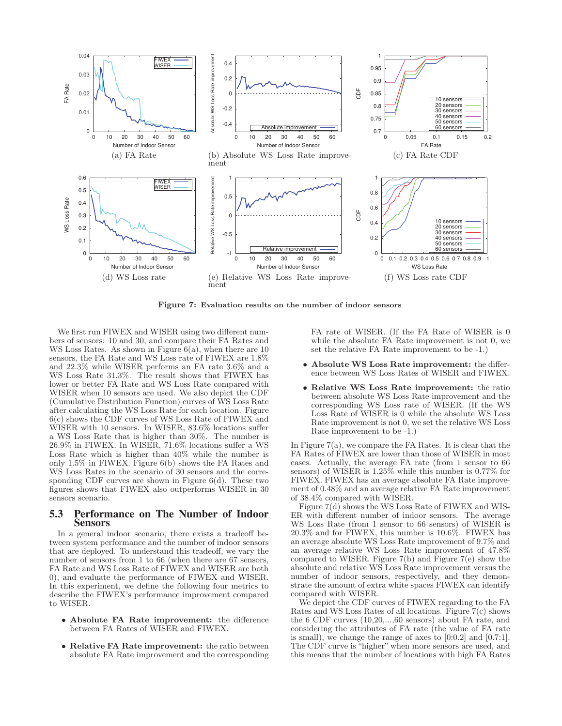

**Figure 7: Evaluation results on the number of indoor sensors**

We first run FIWEX and WISER using two different numbers of sensors: 10 and 30, and compare their FA Rates and WS Loss Rates. As shown in Figure 6(a), when there are 10 sensors, the FA Rate and WS Loss rate of FIWEX are 1.8% and 22.3% while WISER performs an FA rate 3.6% and a WS Loss Rate 31.3%. The result shows that FIWEX has lower or better FA Rate and WS Loss Rate compared with WISER when 10 sensors are used. We also depict the CDF (Cumulative Distribution Function) curves of WS Loss Rate after calculating the WS Loss Rate for each location. Figure 6(c) shows the CDF curves of WS Loss Rate of FIWEX and WISER with 10 sensors. In WISER, 83.6% locations suffer a WS Loss Rate that is higher than 30%. The number is 26.9% in FIWEX. In WISER, 71.6% locations suffer a WS Loss Rate which is higher than 40% while the number is only 1.5% in FIWEX. Figure 6(b) shows the FA Rates and WS Loss Rates in the scenario of 30 sensors and the corresponding CDF curves are shown in Figure 6(d). These two figures shows that FIWEX also outperforms WISER in 30 sensors scenario.

#### 5.3 Performance on The Number of Indoor Sensors

In a general indoor scenario, there exists a tradeoff between system performance and the number of indoor sensors that are deployed. To understand this tradeoff, we vary the number of sensors from 1 to 66 (when there are 67 sensors, FA Rate and WS Loss Rate of FIWEX and WISER are both 0), and evaluate the performance of FIWEX and WISER. In this experiment, we define the following four metrics to describe the FIWEX's performance improvement compared to WISER.

- **Absolute FA Rate improvement:** the difference between FA Rates of WISER and FIWEX.
- **Relative FA Rate improvement:** the ratio between absolute FA Rate improvement and the corresponding

FA rate of WISER. (If the FA Rate of WISER is 0 while the absolute FA Rate improvement is not 0, we set the relative FA Rate improvement to be -1.)

- **Absolute WS Loss Rate improvement:** the difference between WS Loss Rates of WISER and FIWEX.
- **Relative WS Loss Rate improvement:** the ratio between absolute WS Loss Rate improvement and the corresponding WS Loss rate of WISER. (If the WS Loss Rate of WISER is 0 while the absolute WS Loss Rate improvement is not 0, we set the relative WS Loss Rate improvement to be -1.)

In Figure 7(a), we compare the FA Rates. It is clear that the FA Rates of FIWEX are lower than those of WISER in most cases. Actually, the average FA rate (from 1 sensor to 66 sensors) of WISER is 1.25% while this number is 0.77% for FIWEX. FIWEX has an average absolute FA Rate improvement of 0.48% and an average relative FA Rate improvement of 38.4% compared with WISER.

Figure 7(d) shows the WS Loss Rate of FIWEX and WIS-ER with different number of indoor sensors. The average WS Loss Rate (from 1 sensor to 66 sensors) of WISER is 20.3% and for FIWEX, this number is 10.6%. FIWEX has an average absolute WS Loss Rate improvement of 9.7% and an average relative WS Loss Rate improvement of 47.8% compared to WISER. Figure 7(b) and Figure 7(e) show the absolute and relative WS Loss Rate improvement versus the number of indoor sensors, respectively, and they demonstrate the amount of extra white spaces FIWEX can identify compared with WISER.

We depict the CDF curves of FIWEX regarding to the FA Rates and WS Loss Rates of all locations. Figure 7(c) shows the 6 CDF curves (10,20,...,60 sensors) about FA rate, and considering the attributes of FA rate (the value of FA rate is small), we change the range of axes to [0:0.2] and [0.7:1]. The CDF curve is "higher" when more sensors are used, and this means that the number of locations with high FA Rates